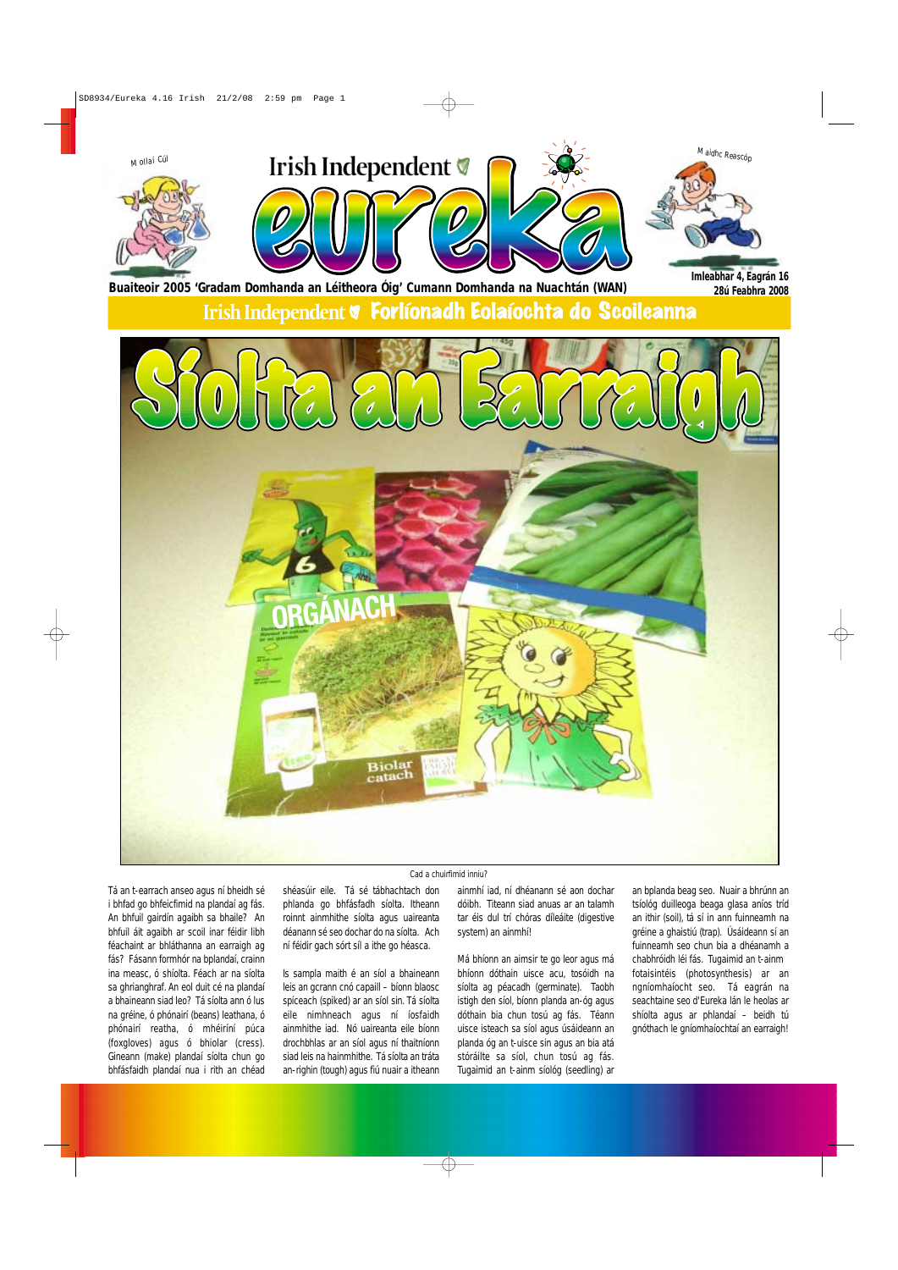Tá an t-earrach anseo agus ní bheidh sé i bhfad go bhfeicfimid na plandaí ag fás. An bhfuil gairdín agaibh sa bhaile? An bhfuil áit agaibh ar scoil inar féidir libh féachaint ar bhláthanna an earraigh ag fás? Fásann formhór na bplandaí, crainn ina measc, ó shíolta. Féach ar na síolta sa ghrianghraf. An eol duit cé na plandaí a bhaineann siad leo? Tá síolta ann ó lus na gréine, ó phónairí (beans) leathana, ó phónairí reatha, ó mhéiríní púca (foxgloves) agus ó bhiolar (cress). Gineann (make) plandaí síolta chun go bhfásfaidh plandaí nua i rith an chéad

shéasúir eile. Tá sé tábhachtach don phlanda go bhfásfadh síolta. Itheann roinnt ainmhithe síolta agus uaireanta déanann sé seo dochar do na síolta. Ach ní féidir gach sórt síl a ithe go héasca.

Is sampla maith é an síol a bhaineann leis an gcrann cnó capaill – bíonn blaosc spíceach (spiked) ar an síol sin. Tá síolta eile nimhneach agus ní íosfaidh ainmhithe iad. Nó uaireanta eile bíonn drochbhlas ar an síol agus ní thaitníonn siad leis na hainmhithe. Tá síolta an tráta an-righin (tough) agus fiú nuair a itheann



ainmhí iad, ní dhéanann sé aon dochar dóibh. Titeann siad anuas ar an talamh tar éis dul trí chóras díleáite (digestive system) an ainmhí!

Má bhíonn an aimsir te go leor agus má bhíonn dóthain uisce acu, tosóidh na síolta ag péacadh (germinate). Taobh istigh den síol, bíonn planda an-óg agus dóthain bia chun tosú ag fás. Téann uisce isteach sa síol agus úsáideann an planda óg an t-uisce sin agus an bia atá stóráilte sa síol, chun tosú ag fás. Tugaimid an t-ainm síológ (seedling) ar

an bplanda beag seo. Nuair a bhrúnn an tsíológ duilleoga beaga glasa aníos tríd an ithir (soil), tá sí in ann fuinneamh na gréine a ghaistiú (trap). Úsáideann sí an fuinneamh seo chun bia a dhéanamh a chabhróidh léi fás. Tugaimid an t-ainm fotaisintéis (photosynthesis) ar an ngníomhaíocht seo. Tá eagrán na seachtaine seo d'Eureka lán le heolas ar shíolta agus ar phlandaí – beidh tú gnóthach le gníomhaíochtaí an earraigh!

#### *Cad a chuirfimid inniu?*

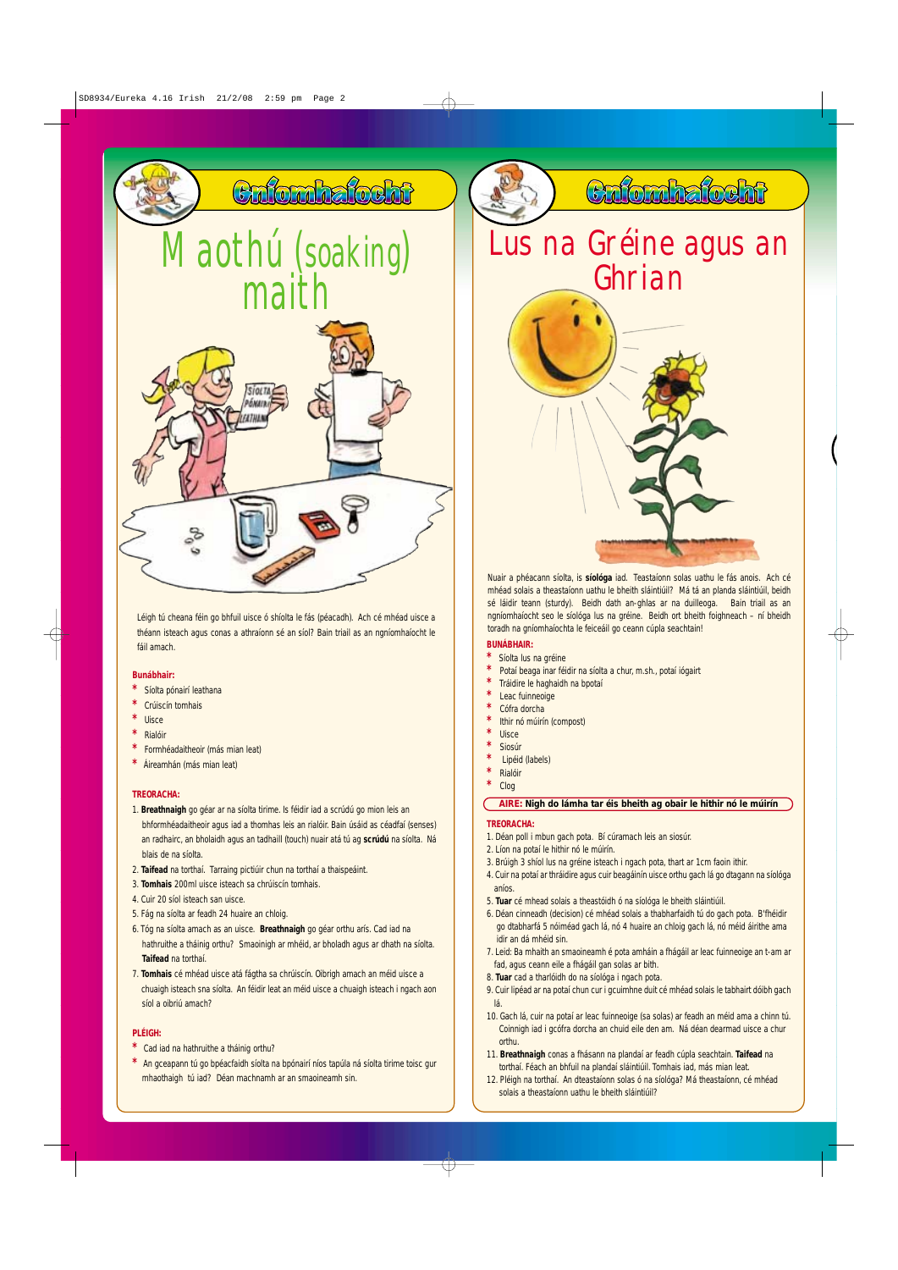### **Bunábhair:**

- **Síolta pónairí leathana**
- **\*** Crúiscín tomhais
- **\*** Uisce
- **\*** Rialóir
- **\*** Formhéadaitheoir (más mian leat)
- **Áireamhán (más mian leat)**

### **TREORACHA:**

- 1. **Breathnaigh** go géar ar na síolta tirime. Is féidir iad a scrúdú go mion leis an bhformhéadaitheoir agus iad a thomhas leis an rialóir. Bain úsáid as céadfaí (senses) an radhairc, an bholaidh agus an tadhaill (touch) nuair atá tú ag **scrúdú** na síolta. Ná blais de na síolta.
- 2. **Taifead** na torthaí. Tarraing pictiúir chun na torthaí a thaispeáint.
- 3. **Tomhais** 200ml uisce isteach sa chrúiscín tomhais.
- 4. Cuir 20 síol isteach san uisce.
- 5. Fág na síolta ar feadh 24 huaire an chloig.
- 6. Tóg na síolta amach as an uisce. **Breathnaigh** go géar orthu arís. Cad iad na hathruithe a tháinig orthu? Smaoinigh ar mhéid, ar bholadh agus ar dhath na síolta. **Taifead** na torthaí.
- **\*** Cad iad na hathruithe a tháinig orthu?
- **\*** An gceapann tú go bpéacfaidh síolta na bpónairí níos tapúla ná síolta tirime toisc gur mhaothaigh tú iad? Déan machnamh ar an smaoineamh sin.
- fad, agus ceann eile a fhágáil gan solas ar bith. 8. **Tuar** cad a tharlóidh do na síológa i ngach pota. 9. Cuir lipéad ar na potaí chun cur i gcuimhne duit cé mhéad solais le tabhairt dóibh gach lá.
- 10. Gach lá, cuir na potaí ar leac fuinneoige (sa solas) ar feadh an méid ama a chinn tú. Coinnigh iad i gcófra dorcha an chuid eile den am. Ná déan dearmad uisce a chur orthu.
- 11. **Breathnaigh** conas a fhásann na plandaí ar feadh cúpla seachtain. **Taifead** na torthaí. Féach an bhfuil na plandaí sláintiúil. Tomhais iad, más mian leat. 12. Pléigh na torthaí. An dteastaíonn solas ó na síológa? Má theastaíonn, cé mhéad solais a theastaíonn uathu le bheith sláintiúil?

### **PLÉIGH:**

Léigh tú cheana féin go bhfuil uisce ó shíolta le fás (péacadh). Ach cé mhéad uisce a théann isteach agus conas a athraíonn sé an síol? Bain triail as an ngníomhaíocht le fáil amach.

- 1. Déan poll i mbun gach pota. Bí cúramach leis an siosúr.
- 2. Líon na potaí le hithir nó le múirín.
- 3. Brúigh 3 shíol lus na gréine isteach i ngach pota, thart ar 1cm faoin ithir.
- 4. Cuir na potaí ar thráidire agus cuir beagáinín uisce orthu gach lá go dtagann na síológa
	- aníos.
- 5. **Tuar** cé mhead solais a theastóidh ó na síológa le bheith sláintiúil.
- 6. Déan cinneadh (decision) cé mhéad solais a thabharfaidh tú do gach pota. B'fhéidir go dtabharfá 5 nóiméad gach lá, nó 4 huaire an chloig gach lá, nó méid áirithe ama idir an dá mhéid sin.
- 7. Leid: Ba mhaith an smaoineamh é pota amháin a fhágáil ar leac fuinneoige an t-am ar
- 
- 7. **Tomhais** cé mhéad uisce atá fágtha sa chrúiscín. Oibrigh amach an méid uisce a chuaigh isteach sna síolta. An féidir leat an méid uisce a chuaigh isteach i ngach aon síol a oibriú amach?



### **BUNÁBHAIR:**

- **\*** Síolta lus na gréine
- **\*** Potaí beaga inar féidir na síolta a chur, m.sh., potaí iógairt
- **\*** Tráidire le haghaidh na bpotaí
- **Leac fuinneoige**
- **\*** Cófra dorcha
- **Ithir nó múirín (compost)**
- **\*** Uisce
- **\*** Siosúr
- 
- **\*** Lipéid (labels) **\*** Rialóir
- **\*** Clog

### **TREORACHA:**



mhéad solais a theastaíonn uathu le bheith sláintiúil? Má tá an planda sláintiúil, beidh sé láidir teann (sturdy). Beidh dath an-ghlas ar na duilleoga. Bain triail as an ngníomhaíocht seo le síológa lus na gréine. Beidh ort bheith foighneach – ní bheidh toradh na gníomhaíochta le feiceáil go ceann cúpla seachtain!

### **AIRE: Nigh do lámha tar éis bheith ag obair le hithir nó le múirín**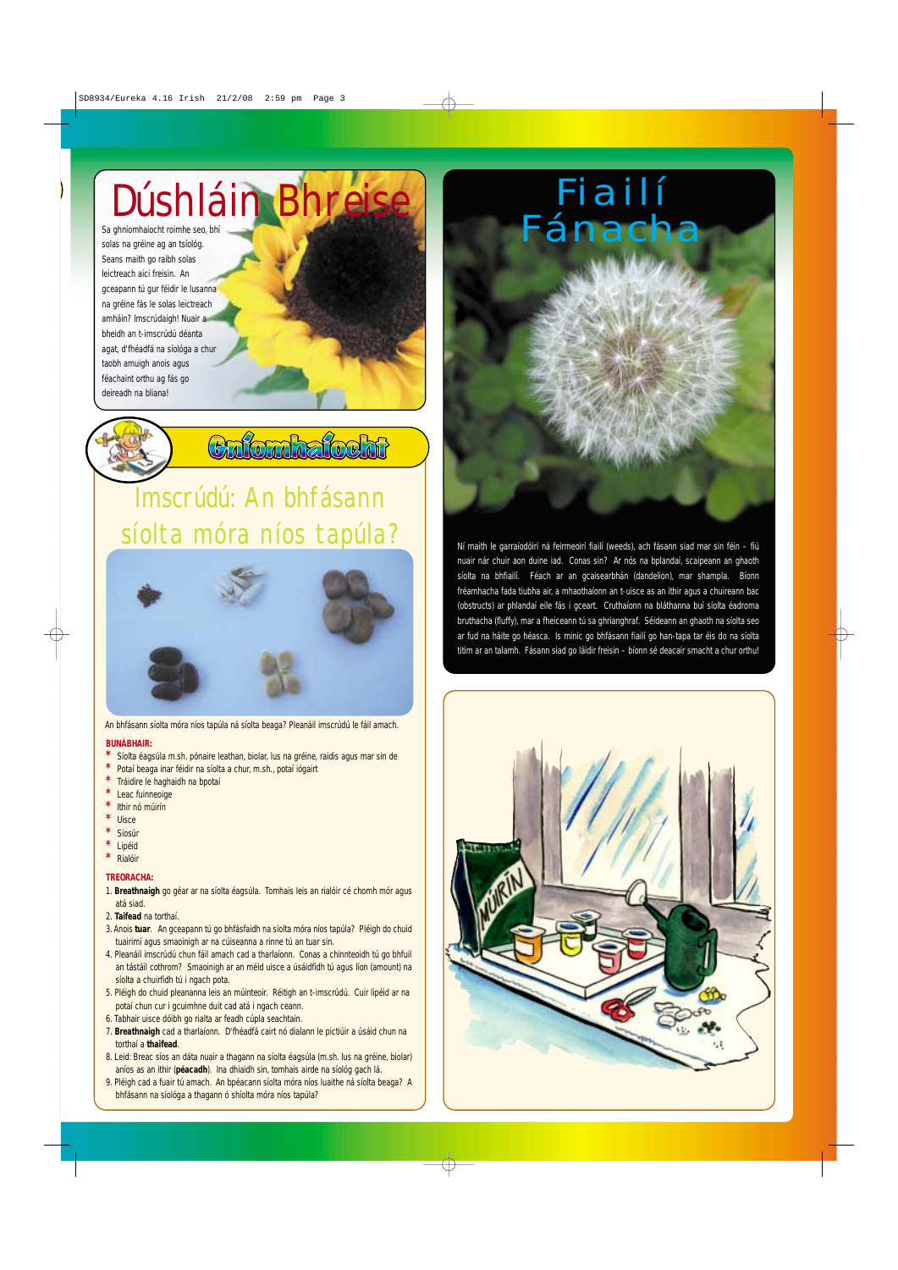Sa ghníomhaíocht roimhe seo, bhí solas na gréine ag an tsíológ. Seans maith go raibh solas leictreach aici freisin. An gceapann tú gur féidir le lusanna na gréine fás le solas leictreach amháin? Imscrúdaigh! Nuair a bheidh an t-imscrúdú déanta agat, d'fhéadfá na síológa a chur taobh amuigh anois agus féachaint orthu ag fás go deireadh na bliana!



Culombalocht

- Síolta éagsúla m.sh. pónaire leathan, biolar, lus na gréine, raidis agus mar sin de
- Potaí beaga inar féidir na síolta a chur, m.sh., potaí iógairt
- **\*** Tráidire le haghaidh na bpotaí
- **Leac fuinneoige**
- **\*** Ithir nó múirín
- **\*** Uisce
- **\*** Siosúr
- **\*** Lipéid
- **\*** Rialóir

# Imscrúdú: An bhfásann síolta móra níos tapúla?



### **BUNÁBHAIR:**

- 1. Breathnaigh go géar ar na síolta éagsúla. Tomhais leis an rialóir cé chomh mór agus atá siad.
- 2. **Taifead** na torthaí.
- 3. Anois **tuar**. An gceapann tú go bhfásfaidh na síolta móra níos tapúla? Pléigh do chuid tuairimí agus smaoinigh ar na cúiseanna a rinne tú an tuar sin.
- 4. Pleanáil imscrúdú chun fáil amach cad a tharlaíonn. Conas a chinnteoidh tú go bhfuil

# **TREORACHA:**

- an tástáil cothrom? Smaoinigh ar an méid uisce a úsáidfidh tú agus líon (amount) na síolta a chuirfidh tú i ngach pota.
- 5. Pléigh do chuid pleananna leis an múinteoir. Réitigh an t-imscrúdú. Cuir lipéid ar na potaí chun cur i gcuimhne duit cad atá i ngach ceann.
- 6. Tabhair uisce dóibh go rialta ar feadh cúpla seachtain.
- 7. **Breathnaigh** cad a tharlaíonn. D'fhéadfá cairt nó dialann le pictiúir a úsáid chun na torthaí a **thaifead**.
- 8. Leid: Breac síos an dáta nuair a thagann na síolta éagsúla (m.sh. lus na gréine, biolar) aníos as an ithir (**péacadh**). Ina dhiaidh sin, tomhais airde na síológ gach lá. 9. Pléigh cad a fuair tú amach. An bpéacann síolta móra níos luaithe ná síolta beaga? A bhfásann na síológa a thagann ó shíolta móra níos tapúla?



An bhfásann síolta móra níos tapúla ná síolta beaga? Pleanáil imscrúdú le fáil amach.

Ní maith le garraíodóirí ná feirmeoirí fiailí (weeds), ach fásann siad mar sin féin – fiú nuair nár chuir aon duine iad. Conas sin? Ar nós na bplandaí, scaipeann an ghaoth síolta na bhfiailí. Féach ar an gcaisearbhán (dandelion), mar shampla. Bíonn fréamhacha fada tiubha air, a mhaothaíonn an t-uisce as an ithir agus a chuireann bac (obstructs) ar phlandaí eile fás i gceart. Cruthaíonn na bláthanna buí síolta éadroma bruthacha (fluffy), mar a fheiceann tú sa ghrianghraf. Séideann an ghaoth na síolta seo ar fud na háite go héasca. Is minic go bhfásann fiailí go han-tapa tar éis do na síolta titim ar an talamh. Fásann siad go láidir freisin – bíonn sé deacair smacht a chur orthu!



# Dúshláin Bhreise | Fiailí